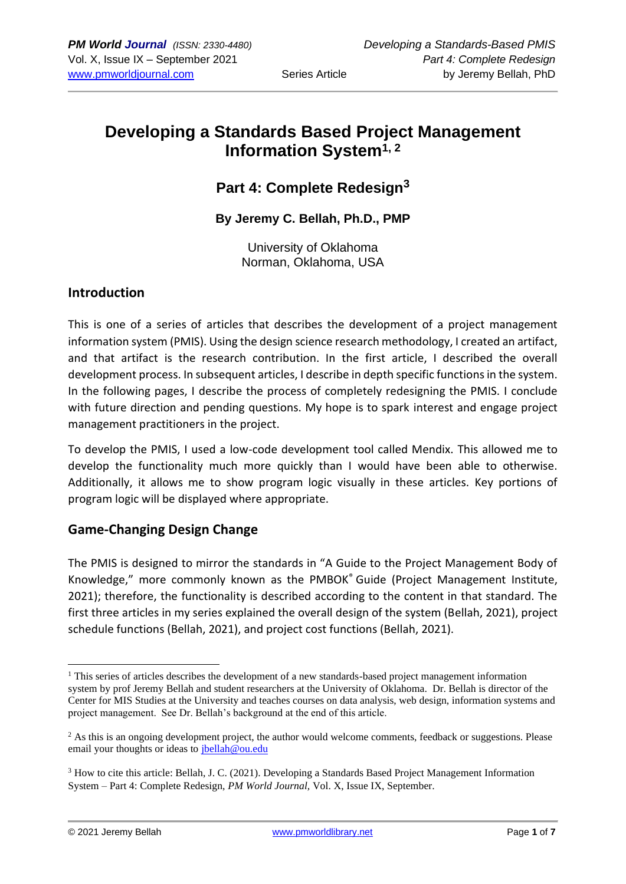# **Developing a Standards Based Project Management Information System1, <sup>2</sup>**

## **Part 4: Complete Redesign<sup>3</sup>**

**By Jeremy C. Bellah, Ph.D., PMP**

University of Oklahoma Norman, Oklahoma, USA

#### **Introduction**

This is one of a series of articles that describes the development of a project management information system (PMIS). Using the design science research methodology, I created an artifact, and that artifact is the research contribution. In the first article, I described the overall development process. In subsequent articles, I describe in depth specific functions in the system. In the following pages, I describe the process of completely redesigning the PMIS. I conclude with future direction and pending questions. My hope is to spark interest and engage project management practitioners in the project.

To develop the PMIS, I used a low-code development tool called Mendix. This allowed me to develop the functionality much more quickly than I would have been able to otherwise. Additionally, it allows me to show program logic visually in these articles. Key portions of program logic will be displayed where appropriate.

### **Game-Changing Design Change**

The PMIS is designed to mirror the standards in "A Guide to the Project Management Body of Knowledge," more commonly known as the PMBOK® Guide (Project Management Institute, 2021); therefore, the functionality is described according to the content in that standard. The first three articles in my series explained the overall design of the system (Bellah, 2021), project schedule functions (Bellah, 2021), and project cost functions (Bellah, 2021).

 $1$  This series of articles describes the development of a new standards-based project management information system by prof Jeremy Bellah and student researchers at the University of Oklahoma. Dr. Bellah is director of the Center for MIS Studies at the University and teaches courses on data analysis, web design, information systems and project management. See Dr. Bellah's background at the end of this article.

<sup>&</sup>lt;sup>2</sup> As this is an ongoing development project, the author would welcome comments, feedback or suggestions. Please email your thoughts or ideas to [jbellah@ou.edu](mailto:jbellah@ou.edu)

<sup>3</sup> How to cite this article: Bellah, J. C. (2021). Developing a Standards Based Project Management Information System – Part 4: Complete Redesign, *PM World Journal,* Vol. X, Issue IX, September.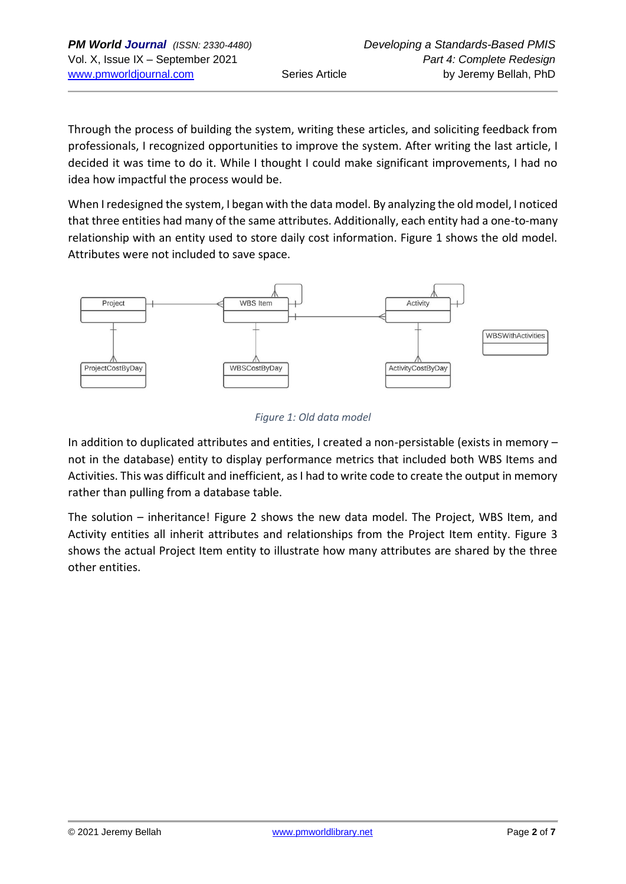Through the process of building the system, writing these articles, and soliciting feedback from professionals, I recognized opportunities to improve the system. After writing the last article, I decided it was time to do it. While I thought I could make significant improvements, I had no idea how impactful the process would be.

When I redesigned the system, I began with the data model. By analyzing the old model, I noticed that three entities had many of the same attributes. Additionally, each entity had a one-to-many relationship with an entity used to store daily cost information. Figure 1 shows the old model. Attributes were not included to save space.



#### *Figure 1: Old data model*

In addition to duplicated attributes and entities, I created a non-persistable (exists in memory – not in the database) entity to display performance metrics that included both WBS Items and Activities. This was difficult and inefficient, as I had to write code to create the output in memory rather than pulling from a database table.

The solution – inheritance! Figure 2 shows the new data model. The Project, WBS Item, and Activity entities all inherit attributes and relationships from the Project Item entity. Figure 3 shows the actual Project Item entity to illustrate how many attributes are shared by the three other entities.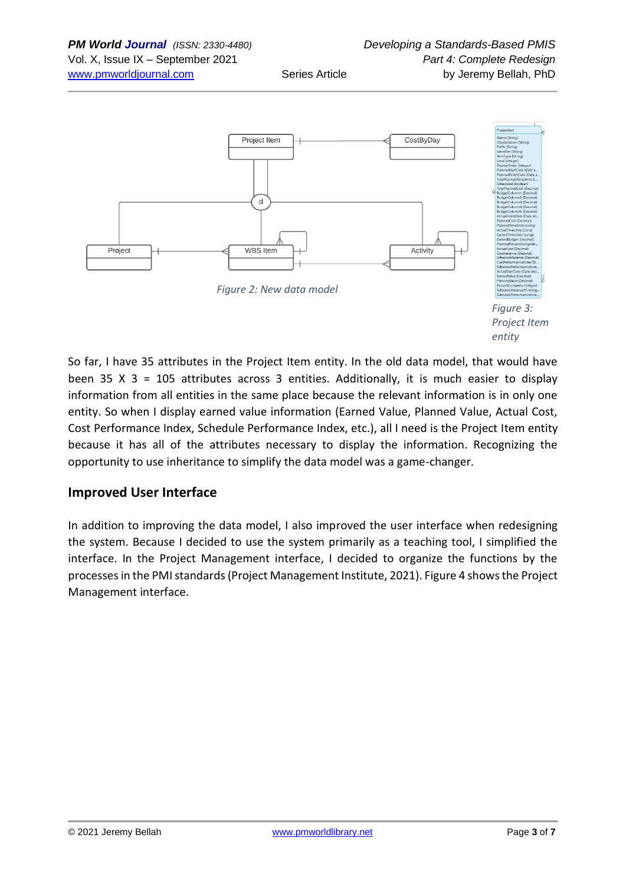

*Figure 3: Project Item entity*

So far, I have 35 attributes in the Project Item entity. In the old data model, that would have been 35 X 3 = 105 attributes across 3 entities. Additionally, it is much easier to display information from all entities in the same place because the relevant information is in only one entity. So when I display earned value information (Earned Value, Planned Value, Actual Cost, Cost Performance Index, Schedule Performance Index, etc.), all I need is the Project Item entity because it has all of the attributes necessary to display the information. Recognizing the opportunity to use inheritance to simplify the data model was a game-changer.

### **Improved User Interface**

In addition to improving the data model, I also improved the user interface when redesigning the system. Because I decided to use the system primarily as a teaching tool, I simplified the interface. In the Project Management interface, I decided to organize the functions by the processes in the PMI standards (Project Management Institute, 2021). Figure 4 shows the Project Management interface.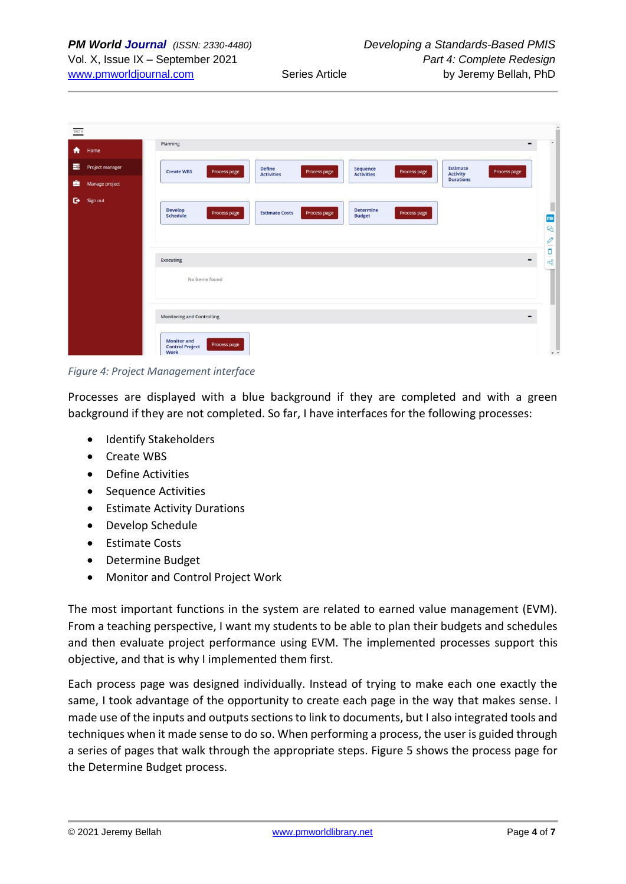| $PMIS$ |                 |                                                                                                                                                                                                                                                                                                              | $\hat{\phantom{a}}$                                                               |
|--------|-----------------|--------------------------------------------------------------------------------------------------------------------------------------------------------------------------------------------------------------------------------------------------------------------------------------------------------------|-----------------------------------------------------------------------------------|
| ₩      | Home            | Planning<br>$\qquad \qquad \blacksquare$                                                                                                                                                                                                                                                                     | $\blacktriangle$                                                                  |
| 畫      | Project manager | Estimate<br><b>Define</b><br>Sequence<br><b>Create WBS</b><br>Process page<br>Process page<br>Process page<br>Process page<br><b>Activities</b><br><b>Activity</b><br><b>Activities</b>                                                                                                                      |                                                                                   |
| ∙      | Manage project  | <b>Durations</b>                                                                                                                                                                                                                                                                                             |                                                                                   |
| ۰      | Sign out        | <b>Develop</b><br><b>Determine</b><br><b>Estimate Costs</b><br>Process page<br>Process page<br>Process page<br>Schedule<br><b>Budget</b><br>Executing<br>$\qquad \qquad \blacksquare$<br>No items found<br><b>Monitoring and Controlling</b><br><b>Monitor and</b><br>Process page<br><b>Control Project</b> | ш<br>ш<br>mx<br>$\mathcal{C} \leqslant  \mathbf{C}  \leqslant \mathcal{C}$<br>wid |
|        |                 | Work                                                                                                                                                                                                                                                                                                         | $\tau$ $\tau$                                                                     |

*Figure 4: Project Management interface*

Processes are displayed with a blue background if they are completed and with a green background if they are not completed. So far, I have interfaces for the following processes:

- Identify Stakeholders
- Create WBS
- Define Activities
- Sequence Activities
- Estimate Activity Durations
- Develop Schedule
- Estimate Costs
- Determine Budget
- Monitor and Control Project Work

The most important functions in the system are related to earned value management (EVM). From a teaching perspective, I want my students to be able to plan their budgets and schedules and then evaluate project performance using EVM. The implemented processes support this objective, and that is why I implemented them first.

Each process page was designed individually. Instead of trying to make each one exactly the same, I took advantage of the opportunity to create each page in the way that makes sense. I made use of the inputs and outputs sections to link to documents, but I also integrated tools and techniques when it made sense to do so. When performing a process, the user is guided through a series of pages that walk through the appropriate steps. Figure 5 shows the process page for the Determine Budget process.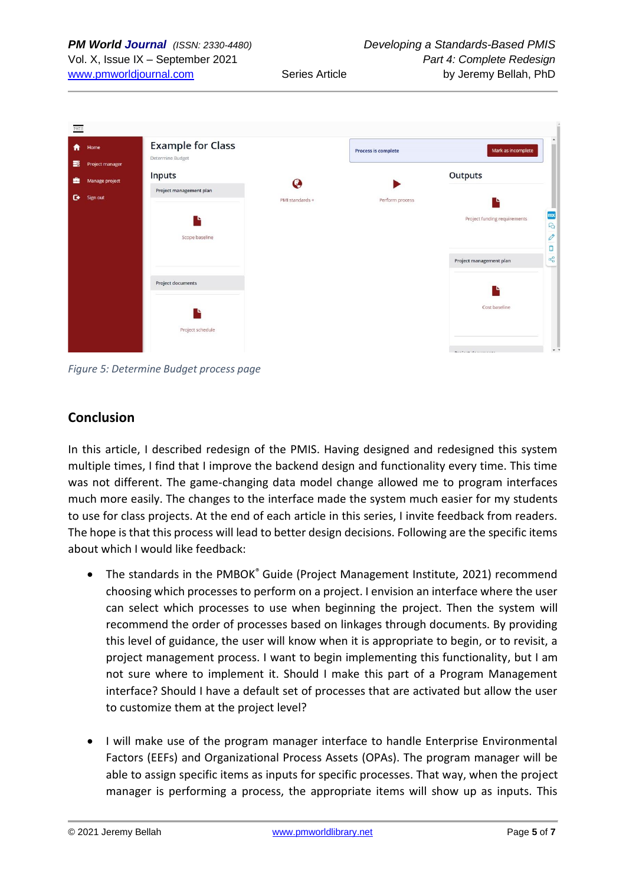

*Figure 5: Determine Budget process page*

### **Conclusion**

In this article, I described redesign of the PMIS. Having designed and redesigned this system multiple times, I find that I improve the backend design and functionality every time. This time was not different. The game-changing data model change allowed me to program interfaces much more easily. The changes to the interface made the system much easier for my students to use for class projects. At the end of each article in this series, I invite feedback from readers. The hope is that this process will lead to better design decisions. Following are the specific items about which I would like feedback:

- The standards in the PMBOK® Guide (Project Management Institute, 2021) recommend choosing which processes to perform on a project. I envision an interface where the user can select which processes to use when beginning the project. Then the system will recommend the order of processes based on linkages through documents. By providing this level of guidance, the user will know when it is appropriate to begin, or to revisit, a project management process. I want to begin implementing this functionality, but I am not sure where to implement it. Should I make this part of a Program Management interface? Should I have a default set of processes that are activated but allow the user to customize them at the project level?
- I will make use of the program manager interface to handle Enterprise Environmental Factors (EEFs) and Organizational Process Assets (OPAs). The program manager will be able to assign specific items as inputs for specific processes. That way, when the project manager is performing a process, the appropriate items will show up as inputs. This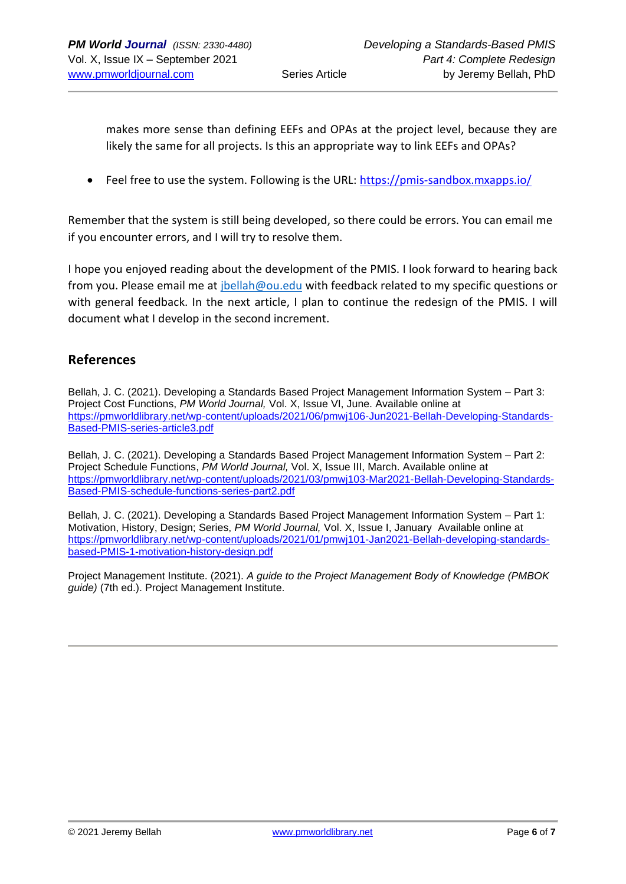makes more sense than defining EEFs and OPAs at the project level, because they are likely the same for all projects. Is this an appropriate way to link EEFs and OPAs?

• Feel free to use the system. Following is the URL: <https://pmis-sandbox.mxapps.io/>

Remember that the system is still being developed, so there could be errors. You can email me if you encounter errors, and I will try to resolve them.

I hope you enjoyed reading about the development of the PMIS. I look forward to hearing back from you. Please email me at *jbellah@ou.edu* with feedback related to my specific questions or with general feedback. In the next article, I plan to continue the redesign of the PMIS. I will document what I develop in the second increment.

### **References**

Bellah, J. C. (2021). Developing a Standards Based Project Management Information System – Part 3: Project Cost Functions, *PM World Journal,* Vol. X, Issue VI, June. Available online at [https://pmworldlibrary.net/wp-content/uploads/2021/06/pmwj106-Jun2021-Bellah-Developing-Standards-](https://pmworldlibrary.net/wp-content/uploads/2021/06/pmwj106-Jun2021-Bellah-Developing-Standards-Based-PMIS-series-article3.pdf)[Based-PMIS-series-article3.pdf](https://pmworldlibrary.net/wp-content/uploads/2021/06/pmwj106-Jun2021-Bellah-Developing-Standards-Based-PMIS-series-article3.pdf)

Bellah, J. C. (2021). Developing a Standards Based Project Management Information System – Part 2: Project Schedule Functions, *PM World Journal,* Vol. X, Issue III, March. Available online at [https://pmworldlibrary.net/wp-content/uploads/2021/03/pmwj103-Mar2021-Bellah-Developing-Standards-](https://pmworldlibrary.net/wp-content/uploads/2021/03/pmwj103-Mar2021-Bellah-Developing-Standards-Based-PMIS-schedule-functions-series-part2.pdf)[Based-PMIS-schedule-functions-series-part2.pdf](https://pmworldlibrary.net/wp-content/uploads/2021/03/pmwj103-Mar2021-Bellah-Developing-Standards-Based-PMIS-schedule-functions-series-part2.pdf)

Bellah, J. C. (2021). Developing a Standards Based Project Management Information System – Part 1: Motivation, History, Design; Series, *PM World Journal,* Vol. X, Issue I, January Available online at [https://pmworldlibrary.net/wp-content/uploads/2021/01/pmwj101-Jan2021-Bellah-developing-standards](https://pmworldlibrary.net/wp-content/uploads/2021/01/pmwj101-Jan2021-Bellah-developing-standards-based-PMIS-1-motivation-history-design.pdf)[based-PMIS-1-motivation-history-design.pdf](https://pmworldlibrary.net/wp-content/uploads/2021/01/pmwj101-Jan2021-Bellah-developing-standards-based-PMIS-1-motivation-history-design.pdf)

Project Management Institute. (2021). *A guide to the Project Management Body of Knowledge (PMBOK guide)* (7th ed.). Project Management Institute.